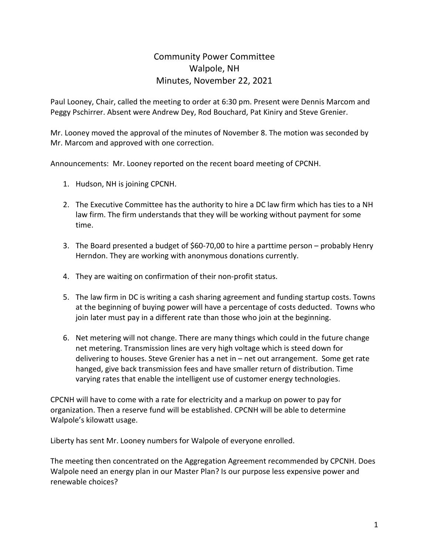## Community Power Committee Walpole, NH Minutes, November 22, 2021

Paul Looney, Chair, called the meeting to order at 6:30 pm. Present were Dennis Marcom and Peggy Pschirrer. Absent were Andrew Dey, Rod Bouchard, Pat Kiniry and Steve Grenier.

Mr. Looney moved the approval of the minutes of November 8. The motion was seconded by Mr. Marcom and approved with one correction.

Announcements: Mr. Looney reported on the recent board meeting of CPCNH.

- 1. Hudson, NH is joining CPCNH.
- 2. The Executive Committee has the authority to hire a DC law firm which has ties to a NH law firm. The firm understands that they will be working without payment for some time.
- 3. The Board presented a budget of \$60-70,00 to hire a parttime person probably Henry Herndon. They are working with anonymous donations currently.
- 4. They are waiting on confirmation of their non-profit status.
- 5. The law firm in DC is writing a cash sharing agreement and funding startup costs. Towns at the beginning of buying power will have a percentage of costs deducted. Towns who join later must pay in a different rate than those who join at the beginning.
- 6. Net metering will not change. There are many things which could in the future change net metering. Transmission lines are very high voltage which is steed down for delivering to houses. Steve Grenier has a net in – net out arrangement. Some get rate hanged, give back transmission fees and have smaller return of distribution. Time varying rates that enable the intelligent use of customer energy technologies.

CPCNH will have to come with a rate for electricity and a markup on power to pay for organization. Then a reserve fund will be established. CPCNH will be able to determine Walpole's kilowatt usage.

Liberty has sent Mr. Looney numbers for Walpole of everyone enrolled.

The meeting then concentrated on the Aggregation Agreement recommended by CPCNH. Does Walpole need an energy plan in our Master Plan? Is our purpose less expensive power and renewable choices?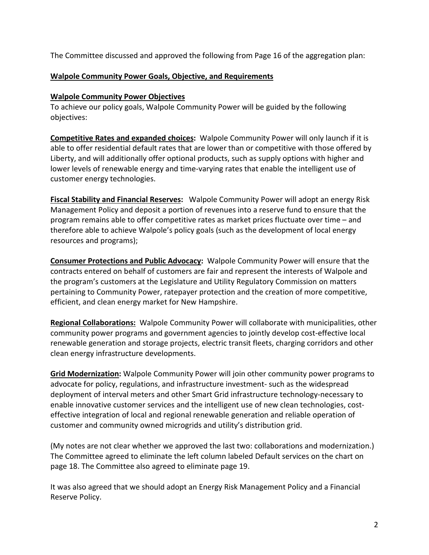The Committee discussed and approved the following from Page 16 of the aggregation plan:

## **Walpole Community Power Goals, Objective, and Requirements**

## **Walpole Community Power Objectives**

To achieve our policy goals, Walpole Community Power will be guided by the following objectives:

**Competitive Rates and expanded choices:** Walpole Community Power will only launch if it is able to offer residential default rates that are lower than or competitive with those offered by Liberty, and will additionally offer optional products, such as supply options with higher and lower levels of renewable energy and time-varying rates that enable the intelligent use of customer energy technologies.

**Fiscal Stability and Financial Reserves:** Walpole Community Power will adopt an energy Risk Management Policy and deposit a portion of revenues into a reserve fund to ensure that the program remains able to offer competitive rates as market prices fluctuate over time – and therefore able to achieve Walpole's policy goals (such as the development of local energy resources and programs);

**Consumer Protections and Public Advocacy:** Walpole Community Power will ensure that the contracts entered on behalf of customers are fair and represent the interests of Walpole and the program's customers at the Legislature and Utility Regulatory Commission on matters pertaining to Community Power, ratepayer protection and the creation of more competitive, efficient, and clean energy market for New Hampshire.

**Regional Collaborations:** Walpole Community Power will collaborate with municipalities, other community power programs and government agencies to jointly develop cost-effective local renewable generation and storage projects, electric transit fleets, charging corridors and other clean energy infrastructure developments.

**Grid Modernization:** Walpole Community Power will join other community power programs to advocate for policy, regulations, and infrastructure investment- such as the widespread deployment of interval meters and other Smart Grid infrastructure technology-necessary to enable innovative customer services and the intelligent use of new clean technologies, costeffective integration of local and regional renewable generation and reliable operation of customer and community owned microgrids and utility's distribution grid.

(My notes are not clear whether we approved the last two: collaborations and modernization.) The Committee agreed to eliminate the left column labeled Default services on the chart on page 18. The Committee also agreed to eliminate page 19.

It was also agreed that we should adopt an Energy Risk Management Policy and a Financial Reserve Policy.